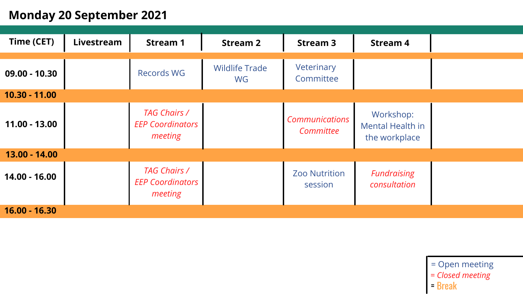## **Monday 20 September 2021**

| <b>Time (CET)</b> | Livestream | <b>Stream 1</b>                                           | <b>Stream 2</b>             | <b>Stream 3</b>                    | <b>Stream 4</b>                                |
|-------------------|------------|-----------------------------------------------------------|-----------------------------|------------------------------------|------------------------------------------------|
| $09.00 - 10.30$   |            | <b>Records WG</b>                                         | <b>Wildlife Trade</b><br>WG | Veterinary<br>Committee            |                                                |
| $10.30 - 11.00$   |            |                                                           |                             |                                    |                                                |
| $11.00 - 13.00$   |            | <b>TAG Chairs /</b><br><b>EEP Coordinators</b><br>meeting |                             | <b>Communications</b><br>Committee | Workshop:<br>Mental Health in<br>the workplace |
| 13.00 - 14.00     |            |                                                           |                             |                                    |                                                |
| $14.00 - 16.00$   |            | <b>TAG Chairs /</b><br><b>EEP Coordinators</b><br>meeting |                             | <b>Zoo Nutrition</b><br>session    | <b>Fundraising</b><br>consultation             |
| $16.00 - 16.30$   |            |                                                           |                             |                                    |                                                |

= Break *= Closed meeting* = Open meeting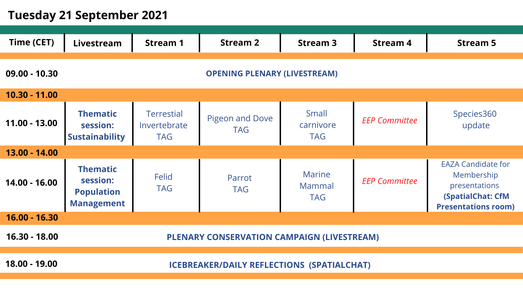# **Tuesday 21 September 2021**

| <b>Time (CET)</b>                                      | Livestream                                                            | <b>Stream 1</b>                                 | <b>Stream 2</b>                      | <b>Stream 3</b>                       | <b>Stream 4</b>      | <b>Stream 5</b>                                                                                                    |  |  |
|--------------------------------------------------------|-----------------------------------------------------------------------|-------------------------------------------------|--------------------------------------|---------------------------------------|----------------------|--------------------------------------------------------------------------------------------------------------------|--|--|
| $09.00 - 10.30$<br><b>OPENING PLENARY (LIVESTREAM)</b> |                                                                       |                                                 |                                      |                                       |                      |                                                                                                                    |  |  |
| 10.30 - 11.00                                          |                                                                       |                                                 |                                      |                                       |                      |                                                                                                                    |  |  |
| $11.00 - 13.00$                                        | <b>Thematic</b><br>session:<br><b>Sustainability</b>                  | <b>Terrestial</b><br>Invertebrate<br><b>TAG</b> | <b>Pigeon and Dove</b><br><b>TAG</b> | Small<br>carnivore<br><b>TAG</b>      | <b>EEP Committee</b> | Species360<br>update                                                                                               |  |  |
| $13.00 - 14.00$                                        |                                                                       |                                                 |                                      |                                       |                      |                                                                                                                    |  |  |
| 14.00 - 16.00                                          | <b>Thematic</b><br>session:<br><b>Population</b><br><b>Management</b> | <b>Felid</b><br><b>TAG</b>                      | Parrot<br><b>TAG</b>                 | <b>Marine</b><br>Mammal<br><b>TAG</b> | <b>EEP Committee</b> | <b>EAZA Candidate for</b><br>Membership<br>presentations<br><b>(SpatialChat: CfM</b><br><b>Presentations room)</b> |  |  |
| $16.00 - 16.30$                                        |                                                                       |                                                 |                                      |                                       |                      |                                                                                                                    |  |  |
| 16.30 - 18.00                                          | <b>PLENARY CONSERVATION CAMPAIGN (LIVESTREAM)</b>                     |                                                 |                                      |                                       |                      |                                                                                                                    |  |  |
| 18.00 - 19.00                                          | <b>ICEBREAKER/DAILY REFLECTIONS (SPATIALCHAT)</b>                     |                                                 |                                      |                                       |                      |                                                                                                                    |  |  |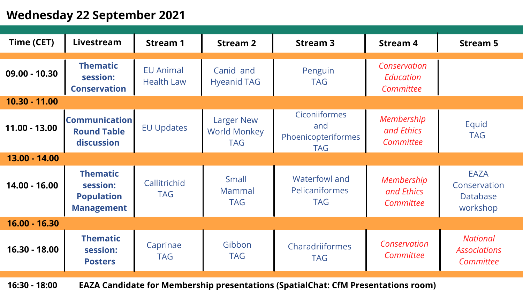## **Wednesday 22 September 2021**

| Time (CET)      | Livestream                                                            | <b>Stream 1</b>                       | <b>Stream 2</b>                                        | <b>Stream 3</b>                                                  | <b>Stream 4</b>                        | <b>Stream 5</b>                                     |
|-----------------|-----------------------------------------------------------------------|---------------------------------------|--------------------------------------------------------|------------------------------------------------------------------|----------------------------------------|-----------------------------------------------------|
|                 |                                                                       |                                       |                                                        |                                                                  |                                        |                                                     |
| $09.00 - 10.30$ | <b>Thematic</b><br>session:<br><b>Conservation</b>                    | <b>EU Animal</b><br><b>Health Law</b> | Canid and<br><b>Hyeanid TAG</b>                        | Penguin<br><b>TAG</b>                                            | Conservation<br>Education<br>Committee |                                                     |
| $10.30 - 11.00$ |                                                                       |                                       |                                                        |                                                                  |                                        |                                                     |
| $11.00 - 13.00$ | <b>Communication</b><br><b>Round Table</b><br>discussion              | <b>EU Updates</b>                     | <b>Larger New</b><br><b>World Monkey</b><br><b>TAG</b> | <b>Ciconiiformes</b><br>and<br>Phoenicopteriformes<br><b>TAG</b> | Membership<br>and Ethics<br>Committee  | Equid<br><b>TAG</b>                                 |
| 13.00 - 14.00   |                                                                       |                                       |                                                        |                                                                  |                                        |                                                     |
| 14.00 - 16.00   | <b>Thematic</b><br>session:<br><b>Population</b><br><b>Management</b> | Callitrichid<br><b>TAG</b>            | Small<br>Mammal<br><b>TAG</b>                          | <b>Waterfowl and</b><br>Pelicaniformes<br><b>TAG</b>             | Membership<br>and Ethics<br>Committee  | <b>EAZA</b><br>Conservation<br>Database<br>workshop |
| $16.00 - 16.30$ |                                                                       |                                       |                                                        |                                                                  |                                        |                                                     |
| $16.30 - 18.00$ | <b>Thematic</b><br>session:<br><b>Posters</b>                         | Caprinae<br><b>TAG</b>                | Gibbon<br><b>TAG</b>                                   | Charadriiformes<br><b>TAG</b>                                    | Conservation<br>Committee              | <b>National</b><br><b>Associations</b><br>Committee |

**16:30 - 18:00 EAZA Candidate for Membership presentations (SpatialChat: CfM Presentations room)**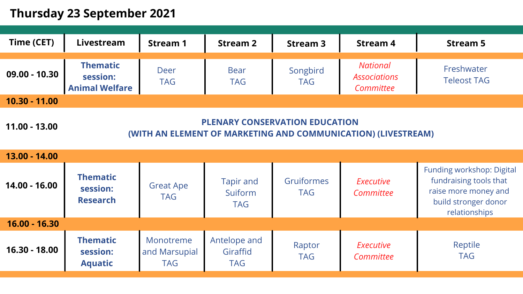### **Thursday 23 September 2021**

| <b>Time (CET)</b> | Livestream                                           | <b>Stream 1</b>    | <b>Stream 2</b>           | <b>Stream 3</b>        | <b>Stream 4</b>                                     | <b>Stream 5</b>                  |
|-------------------|------------------------------------------------------|--------------------|---------------------------|------------------------|-----------------------------------------------------|----------------------------------|
| $09.00 - 10.30$   | <b>Thematic</b><br>session:<br><b>Animal Welfare</b> | Deer<br><b>TAG</b> | <b>Bear</b><br><b>TAG</b> | Songbird<br><b>TAG</b> | <b>National</b><br><b>Associations</b><br>Committee | Freshwater<br><b>Teleost TAG</b> |
| $10.30 - 11.00$   |                                                      |                    |                           |                        |                                                     |                                  |
|                   |                                                      |                    |                           |                        |                                                     |                                  |

**11.00 - 13.00 PLENARY CONSERVATION EDUCATION (WITH AN ELEMENT OF MARKETING AND COMMUNICATION) (LIVESTREAM)**

| $13.00 - 14.00$ |                                                |                                          |                                           |                          |                               |                                                                                                                             |
|-----------------|------------------------------------------------|------------------------------------------|-------------------------------------------|--------------------------|-------------------------------|-----------------------------------------------------------------------------------------------------------------------------|
| $14.00 - 16.00$ | <b>Thematic</b><br>session:<br><b>Research</b> | <b>Great Ape</b><br><b>TAG</b>           | <b>Tapir and</b><br>Suiform<br><b>TAG</b> | Gruiformes<br><b>TAG</b> | <b>Executive</b><br>Committee | <b>Funding workshop: Digital</b><br>fundraising tools that<br>raise more money and<br>build stronger donor<br>relationships |
| $16.00 - 16.30$ |                                                |                                          |                                           |                          |                               |                                                                                                                             |
| $16.30 - 18.00$ | <b>Thematic</b><br>session:<br><b>Aquatic</b>  | Monotreme<br>and Marsupial<br><b>TAG</b> | Antelope and<br>Giraffid<br><b>TAG</b>    | Raptor<br><b>TAG</b>     | <b>Executive</b><br>Committee | Reptile<br><b>TAG</b>                                                                                                       |